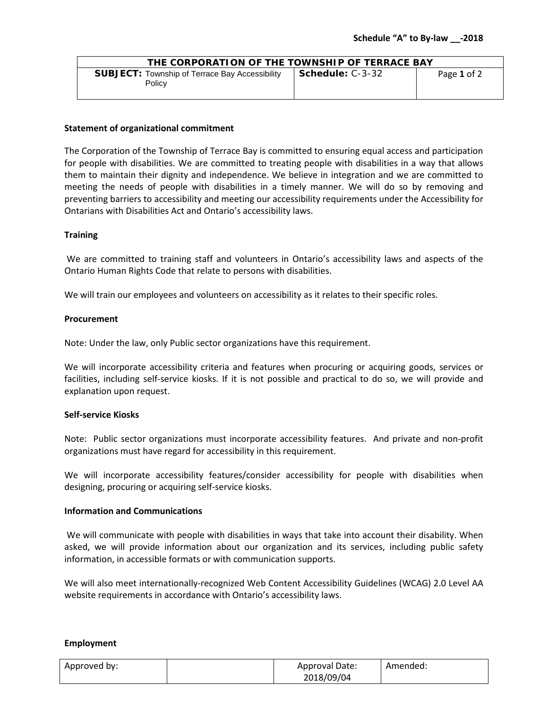| THE CORPORATION OF THE TOWNSHIP OF TERRACE BAY                  |                                 |             |  |
|-----------------------------------------------------------------|---------------------------------|-------------|--|
| <b>SUBJECT:</b> Township of Terrace Bay Accessibility<br>Policy | $\blacksquare$ Schedule: C-3-32 | Page 1 of 2 |  |

## **Statement of organizational commitment**

The Corporation of the Township of Terrace Bay is committed to ensuring equal access and participation for people with disabilities. We are committed to treating people with disabilities in a way that allows them to maintain their dignity and independence. We believe in integration and we are committed to meeting the needs of people with disabilities in a timely manner. We will do so by removing and preventing barriers to accessibility and meeting our accessibility requirements under the Accessibility for Ontarians with Disabilities Act and Ontario's accessibility laws.

#### **Training**

We are committed to training staff and volunteers in Ontario's accessibility laws and aspects of the Ontario Human Rights Code that relate to persons with disabilities.

We will train our employees and volunteers on accessibility as it relates to their specific roles.

#### **Procurement**

Note: Under the law, only Public sector organizations have this requirement.

We will incorporate accessibility criteria and features when procuring or acquiring goods, services or facilities, including self-service kiosks. If it is not possible and practical to do so, we will provide and explanation upon request.

#### **Self-service Kiosks**

Note: Public sector organizations must incorporate accessibility features. And private and non-profit organizations must have regard for accessibility in this requirement.

We will incorporate accessibility features/consider accessibility for people with disabilities when designing, procuring or acquiring self-service kiosks.

# **Information and Communications**

We will communicate with people with disabilities in ways that take into account their disability. When asked, we will provide information about our organization and its services, including public safety information, in accessible formats or with communication supports.

We will also meet internationally-recognized Web Content Accessibility Guidelines (WCAG) 2.0 Level AA website requirements in accordance with Ontario's accessibility laws.

#### **Employment**

| Approved by: | Approval Date: | Amended: |
|--------------|----------------|----------|
|              | 2018/09/04     |          |